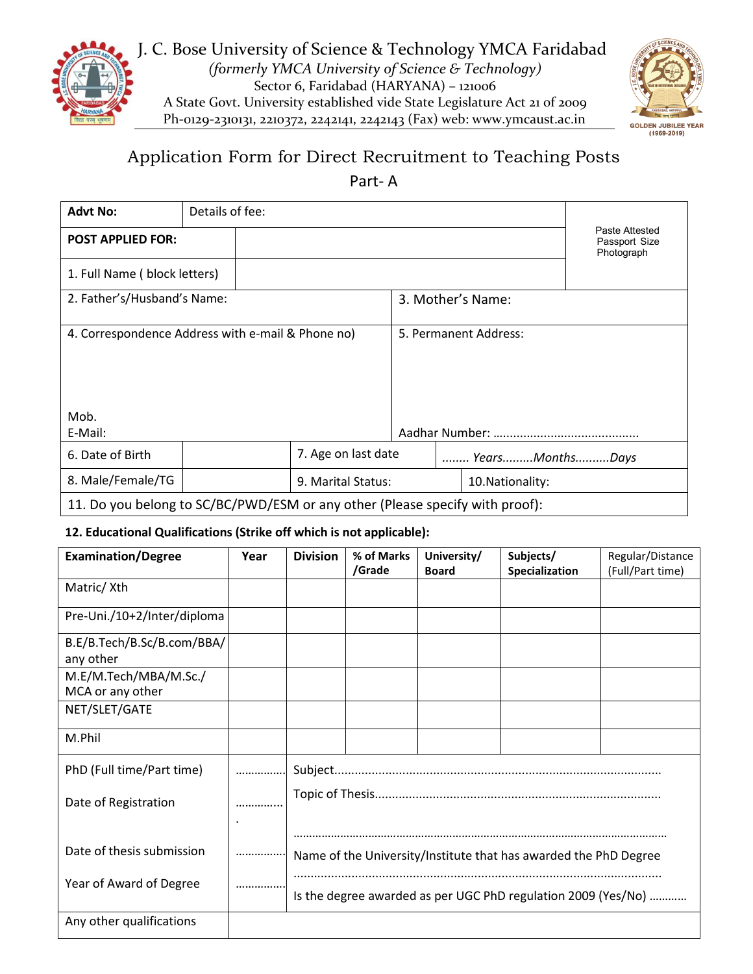



# Application Form for Direct Recruitment to Teaching Posts

Part- A

| <b>Advt No:</b>                                                              | Details of fee: |  |                                        |                  |                       |                   |                                               |
|------------------------------------------------------------------------------|-----------------|--|----------------------------------------|------------------|-----------------------|-------------------|-----------------------------------------------|
| <b>POST APPLIED FOR:</b>                                                     |                 |  |                                        |                  |                       |                   | Paste Attested<br>Passport Size<br>Photograph |
| 1. Full Name (block letters)                                                 |                 |  |                                        |                  |                       |                   |                                               |
| 2. Father's/Husband's Name:                                                  |                 |  |                                        |                  |                       | 3. Mother's Name: |                                               |
| 4. Correspondence Address with e-mail & Phone no)                            |                 |  |                                        |                  | 5. Permanent Address: |                   |                                               |
| Mob.                                                                         |                 |  |                                        |                  |                       |                   |                                               |
| E-Mail:                                                                      |                 |  |                                        |                  |                       |                   |                                               |
| 6. Date of Birth                                                             |                 |  | 7. Age on last date<br>YearsMonthsDays |                  |                       |                   |                                               |
| 8. Male/Female/TG                                                            |                 |  | 9. Marital Status:                     | 10. Nationality: |                       |                   |                                               |
| 11. Do you belong to SC/BC/PWD/ESM or any other (Please specify with proof): |                 |  |                                        |                  |                       |                   |                                               |

### **12. Educational Qualifications (Strike off which is not applicable):**

| <b>Examination/Degree</b>                 | Year | <b>Division</b>                                                  | % of Marks<br>/Grade | University/<br><b>Board</b> | Subjects/<br>Specialization | Regular/Distance<br>(Full/Part time) |  |  |
|-------------------------------------------|------|------------------------------------------------------------------|----------------------|-----------------------------|-----------------------------|--------------------------------------|--|--|
| Matric/Xth                                |      |                                                                  |                      |                             |                             |                                      |  |  |
| Pre-Uni./10+2/Inter/diploma               |      |                                                                  |                      |                             |                             |                                      |  |  |
| B.E/B.Tech/B.Sc/B.com/BBA/<br>any other   |      |                                                                  |                      |                             |                             |                                      |  |  |
| M.E/M.Tech/MBA/M.Sc./<br>MCA or any other |      |                                                                  |                      |                             |                             |                                      |  |  |
| NET/SLET/GATE                             |      |                                                                  |                      |                             |                             |                                      |  |  |
| M.Phil                                    |      |                                                                  |                      |                             |                             |                                      |  |  |
| PhD (Full time/Part time)                 |      |                                                                  |                      |                             |                             |                                      |  |  |
| Date of Registration                      |      |                                                                  |                      |                             |                             |                                      |  |  |
| Date of thesis submission                 |      | Name of the University/Institute that has awarded the PhD Degree |                      |                             |                             |                                      |  |  |
| Year of Award of Degree                   |      | Is the degree awarded as per UGC PhD regulation 2009 (Yes/No)    |                      |                             |                             |                                      |  |  |
| Any other qualifications                  |      |                                                                  |                      |                             |                             |                                      |  |  |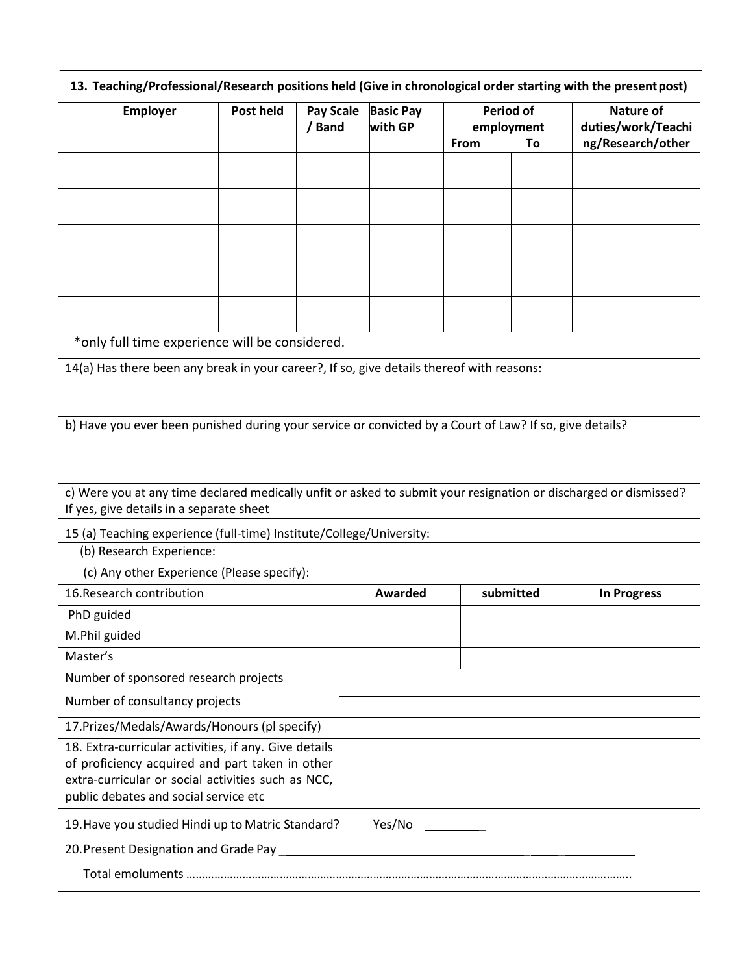### **13. Teaching/Professional/Research positions held (Give in chronological order starting with the present post)**

| Employer | Post held | <b>Pay Scale</b><br>/ Band | <b>Basic Pay</b><br>with GP | <b>Period of</b><br>employment<br>From<br>To |  | Nature of<br>duties/work/Teachi<br>ng/Research/other |
|----------|-----------|----------------------------|-----------------------------|----------------------------------------------|--|------------------------------------------------------|
|          |           |                            |                             |                                              |  |                                                      |
|          |           |                            |                             |                                              |  |                                                      |
|          |           |                            |                             |                                              |  |                                                      |
|          |           |                            |                             |                                              |  |                                                      |
|          |           |                            |                             |                                              |  |                                                      |

\*only full time experience will be considered.

| 14(a) Has there been any break in your career?, If so, give details thereof with reasons:                                                                                                               |         |           |                    |
|---------------------------------------------------------------------------------------------------------------------------------------------------------------------------------------------------------|---------|-----------|--------------------|
| b) Have you ever been punished during your service or convicted by a Court of Law? If so, give details?                                                                                                 |         |           |                    |
| c) Were you at any time declared medically unfit or asked to submit your resignation or discharged or dismissed?<br>If yes, give details in a separate sheet                                            |         |           |                    |
| 15 (a) Teaching experience (full-time) Institute/College/University:<br>(b) Research Experience:                                                                                                        |         |           |                    |
| (c) Any other Experience (Please specify):                                                                                                                                                              |         |           |                    |
| 16. Research contribution                                                                                                                                                                               | Awarded | submitted | <b>In Progress</b> |
| PhD guided                                                                                                                                                                                              |         |           |                    |
| M.Phil guided                                                                                                                                                                                           |         |           |                    |
| Master's                                                                                                                                                                                                |         |           |                    |
| Number of sponsored research projects                                                                                                                                                                   |         |           |                    |
| Number of consultancy projects                                                                                                                                                                          |         |           |                    |
| 17. Prizes/Medals/Awards/Honours (pl specify)                                                                                                                                                           |         |           |                    |
| 18. Extra-curricular activities, if any. Give details<br>of proficiency acquired and part taken in other<br>extra-curricular or social activities such as NCC,<br>public debates and social service etc |         |           |                    |
| 19. Have you studied Hindi up to Matric Standard?<br>20. Present Designation and Grade Pay __________                                                                                                   | Yes/No  |           |                    |
|                                                                                                                                                                                                         |         |           |                    |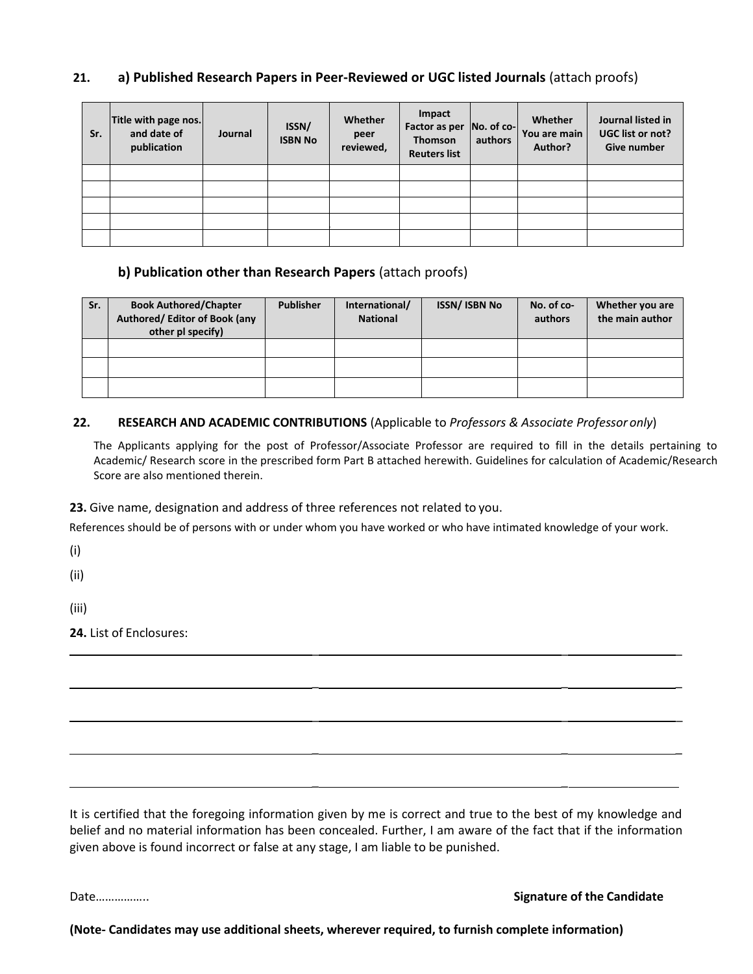### **21. a) Published Research Papers in Peer-Reviewed or UGC listed Journals** (attach proofs)

| Sr. | Title with page nos.<br>and date of<br>publication | Journal | ISSN/<br><b>ISBN No</b> | Whether<br>peer<br>reviewed, | Impact<br>Factor as per<br>Thomson<br><b>Reuters list</b> | $No. of co-$<br>authors | Whether<br>You are main<br>Author? | Journal listed in<br>UGC list or not?<br>Give number |
|-----|----------------------------------------------------|---------|-------------------------|------------------------------|-----------------------------------------------------------|-------------------------|------------------------------------|------------------------------------------------------|
|     |                                                    |         |                         |                              |                                                           |                         |                                    |                                                      |
|     |                                                    |         |                         |                              |                                                           |                         |                                    |                                                      |
|     |                                                    |         |                         |                              |                                                           |                         |                                    |                                                      |
|     |                                                    |         |                         |                              |                                                           |                         |                                    |                                                      |
|     |                                                    |         |                         |                              |                                                           |                         |                                    |                                                      |

### **b) Publication other than Research Papers** (attach proofs)

| Sr. | <b>Book Authored/Chapter</b><br>Authored/ Editor of Book (any<br>other pl specify) | <b>Publisher</b> | International/<br><b>National</b> | <b>ISSN/ ISBN No</b> | No. of co-<br>authors | Whether you are<br>the main author |
|-----|------------------------------------------------------------------------------------|------------------|-----------------------------------|----------------------|-----------------------|------------------------------------|
|     |                                                                                    |                  |                                   |                      |                       |                                    |
|     |                                                                                    |                  |                                   |                      |                       |                                    |
|     |                                                                                    |                  |                                   |                      |                       |                                    |

### **22. RESEARCH AND ACADEMIC CONTRIBUTIONS** (Applicable to *Professors & Associate Professor only*)

The Applicants applying for the post of Professor/Associate Professor are required to fill in the details pertaining to Academic/ Research score in the prescribed form Part B attached herewith. Guidelines for calculation of Academic/Research Score are also mentioned therein.

**23.** Give name, designation and address of three references not related to you.

References should be of persons with or under whom you have worked or who have intimated knowledge of your work.

 $\mathcal{L} = \mathcal{L} \times \mathcal{L}$  , where  $\mathcal{L} = \mathcal{L} \times \mathcal{L}$  , where  $\mathcal{L} = \mathcal{L} \times \mathcal{L}$  , where  $\mathcal{L} = \mathcal{L} \times \mathcal{L}$ 

\_ \_ \_

\_ \_ \_

 $\mathcal{L} = \mathcal{L} \times \mathcal{L}$  , where  $\mathcal{L} = \mathcal{L} \times \mathcal{L}$  , where  $\mathcal{L} = \mathcal{L} \times \mathcal{L}$  , where  $\mathcal{L} = \mathcal{L} \times \mathcal{L}$ 

(i)

(ii)

(iii)

**24.** List of Enclosures:

It is certified that the foregoing information given by me is correct and true to the best of my knowledge and belief and no material information has been concealed. Further, I am aware of the fact that if the information given above is found incorrect or false at any stage, I am liable to be punished.

Date…………….. **Signature of the Candidate** 

**(Note- Candidates may use additional sheets, wherever required, to furnish complete information)**

\_ \_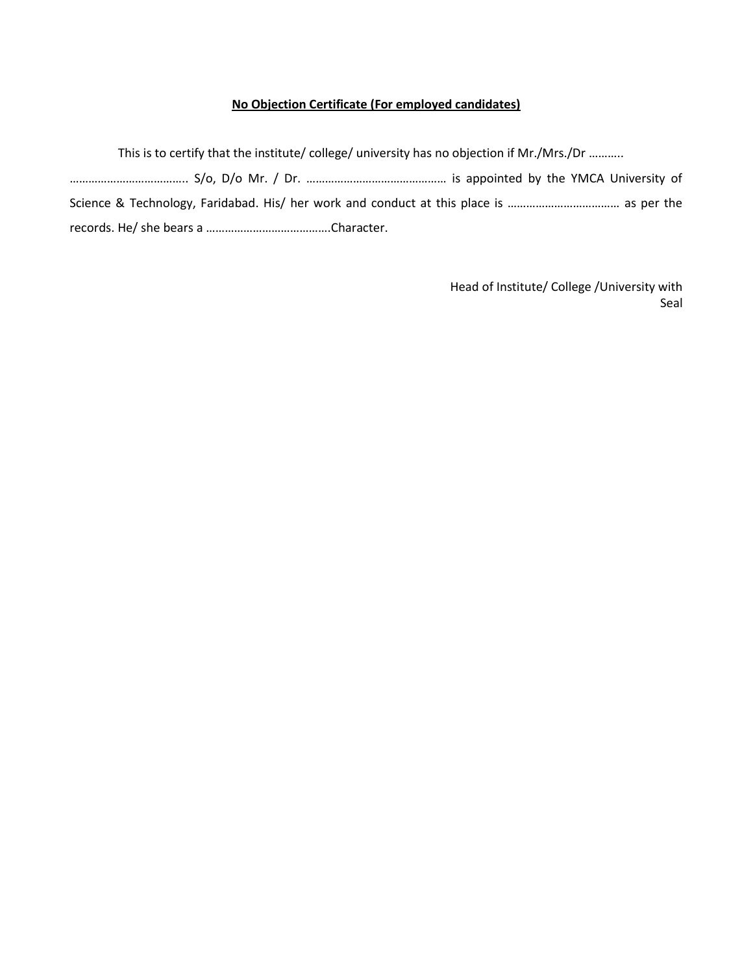### **No Objection Certificate (For employed candidates)**

This is to certify that the institute/ college/ university has no objection if Mr./Mrs./Dr ………..

……………………………….. S/o, D/o Mr. / Dr. ……………………………………… is appointed by the YMCA University of Science & Technology, Faridabad. His/ her work and conduct at this place is ……………………………… as per the records. He/ she bears a ………………………………….Character.

> Head of Institute/ College /University with Seal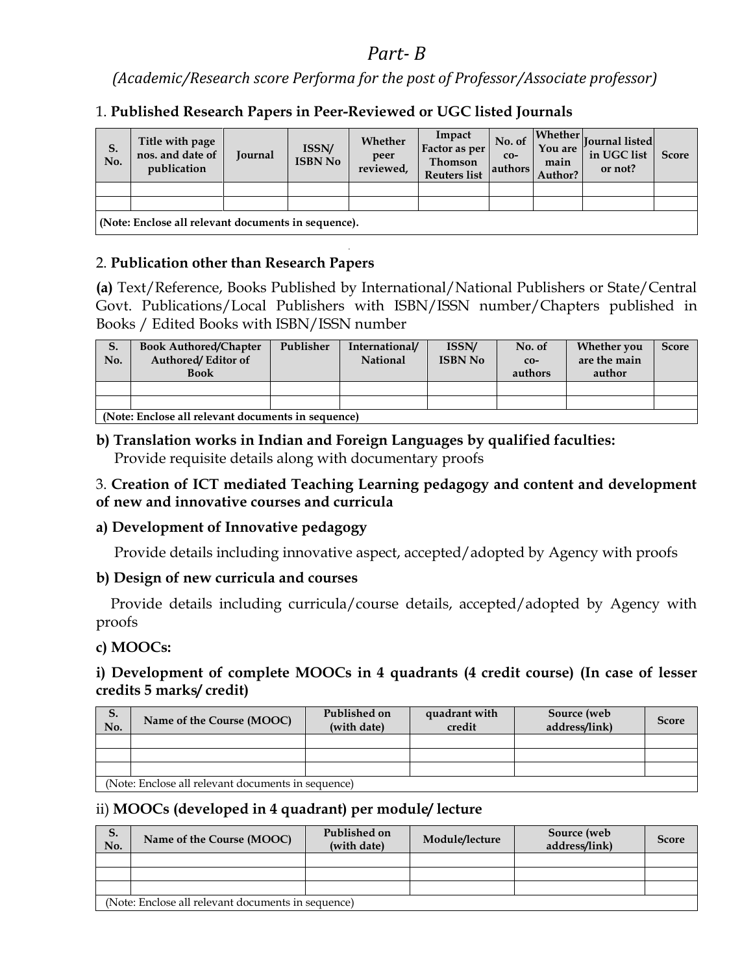# *Part- B*

*(Academic/Research score Performa for the post of Professor/Associate professor)* 

# 1. **Published Research Papers in Peer-Reviewed or UGC listed Journals**

| S.<br>No. | Title with page<br>nos. and date of<br>publication  | <b>Journal</b> | <b>ISSN/</b><br><b>ISBN No</b> | Whether<br>peer<br>reviewed, | Impact<br>Factor as per<br><b>Thomson</b><br><b>Reuters list</b> | No. of<br>$CO-$<br>authors | You are<br>main<br>Author? | $\mathcal{L}$   Whether   $\vert$   $\vert$   $\vert$   $\vert$   $\vert$   $\vert$   $\vert$   $\vert$   $\vert$   $\vert$   $\vert$   $\vert$   $\vert$   $\vert$   $\vert$   $\vert$   $\vert$   $\vert$   $\vert$   $\vert$   $\vert$   $\vert$   $\vert$   $\vert$   $\vert$   $\vert$   $\vert$   $\vert$   $\vert$<br>in UGC list<br>or not? | <b>Score</b> |  |
|-----------|-----------------------------------------------------|----------------|--------------------------------|------------------------------|------------------------------------------------------------------|----------------------------|----------------------------|-----------------------------------------------------------------------------------------------------------------------------------------------------------------------------------------------------------------------------------------------------------------------------------------------------------------------------------------------------|--------------|--|
|           |                                                     |                |                                |                              |                                                                  |                            |                            |                                                                                                                                                                                                                                                                                                                                                     |              |  |
|           |                                                     |                |                                |                              |                                                                  |                            |                            |                                                                                                                                                                                                                                                                                                                                                     |              |  |
|           | (Note: Enclose all relevant documents in sequence). |                |                                |                              |                                                                  |                            |                            |                                                                                                                                                                                                                                                                                                                                                     |              |  |

 **(Note: Enclose all relevant documents in sequence).** 

### 2. **Publication other than Research Papers**

**(a)** Text/Reference, Books Published by International/National Publishers or State/Central Govt. Publications/Local Publishers with ISBN/ISSN number/Chapters published in Books / Edited Books with ISBN/ISSN number

| S.<br>No. | <b>Book Authored/Chapter</b><br><b>Authored/Editor of</b><br><b>Book</b> | Publisher                                          | International/<br><b>National</b> | ISSN/<br><b>ISBN No</b> | No. of<br>$CO-$<br>authors | <b>Whether you</b><br>are the main<br>author | <b>Score</b> |  |  |  |
|-----------|--------------------------------------------------------------------------|----------------------------------------------------|-----------------------------------|-------------------------|----------------------------|----------------------------------------------|--------------|--|--|--|
|           |                                                                          |                                                    |                                   |                         |                            |                                              |              |  |  |  |
|           |                                                                          |                                                    |                                   |                         |                            |                                              |              |  |  |  |
|           |                                                                          | (Note: Enclose all relevant documents in sequence) |                                   |                         |                            |                                              |              |  |  |  |

**b) Translation works in Indian and Foreign Languages by qualified faculties:**  Provide requisite details along with documentary proofs

### 3. **Creation of ICT mediated Teaching Learning pedagogy and content and development of new and innovative courses and curricula**

# **a) Development of Innovative pedagogy**

Provide details including innovative aspect, accepted/adopted by Agency with proofs

# **b) Design of new curricula and courses**

 Provide details including curricula/course details, accepted/adopted by Agency with proofs

# **c) MOOCs:**

# **i) Development of complete MOOCs in 4 quadrants (4 credit course) (In case of lesser credits 5 marks/ credit)**

| S.<br>No. | Name of the Course (MOOC)                                                                                                  | Published on<br>(with date) | quadrant with<br>credit | Source (web<br>address/link) | <b>Score</b> |
|-----------|----------------------------------------------------------------------------------------------------------------------------|-----------------------------|-------------------------|------------------------------|--------------|
|           |                                                                                                                            |                             |                         |                              |              |
|           |                                                                                                                            |                             |                         |                              |              |
|           |                                                                                                                            |                             |                         |                              |              |
|           | $\Delta$ Let $\Gamma$ and $\Gamma$ and $\Gamma$ and $\Gamma$ are also and $\Gamma$ are also associated the set of $\Gamma$ |                             |                         |                              |              |

(Note: Enclose all relevant documents in sequence)

# ii) **MOOCs (developed in 4 quadrant) per module/ lecture**

| S.<br>No. | Name of the Course (MOOC)                          | Published on<br>(with date) | Module/lecture | Source (web<br>address/link) | <b>Score</b> |
|-----------|----------------------------------------------------|-----------------------------|----------------|------------------------------|--------------|
|           |                                                    |                             |                |                              |              |
|           |                                                    |                             |                |                              |              |
|           |                                                    |                             |                |                              |              |
|           | (Note: Enclose all relevant documents in sequence) |                             |                |                              |              |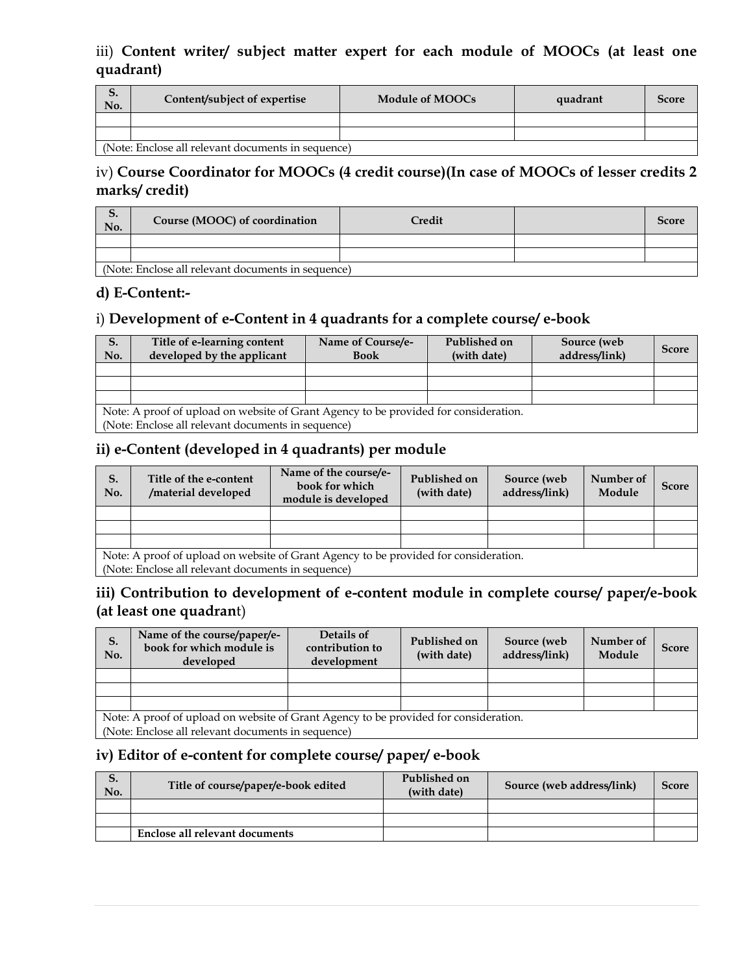### iii) **Content writer/ subject matter expert for each module of MOOCs (at least one quadrant)**

| ⊃.<br>No. | Content/subject of expertise                       | Module of MOOCs | quadrant | <b>Score</b> |  |  |  |  |
|-----------|----------------------------------------------------|-----------------|----------|--------------|--|--|--|--|
|           |                                                    |                 |          |              |  |  |  |  |
|           |                                                    |                 |          |              |  |  |  |  |
|           | (Note: Enclose all relevant documents in sequence) |                 |          |              |  |  |  |  |

# iv) **Course Coordinator for MOOCs (4 credit course)(In case of MOOCs of lesser credits 2 marks/ credit)**

# **S.**  No. **Course (MOOC) of coordination** Credit Score **Credit** Score **Score Score Score Score Score Score Score Score Score Score Score Score Score Score Score Score Score Score Score Score**

(Note: Enclose all relevant documents in sequence)

### **d) E-Content:-**

# i) **Development of e-Content in 4 quadrants for a complete course/ e-book**

| S.<br>No. | Title of e-learning content<br>developed by the applicant                            | Name of Course/e-<br><b>Book</b> | Published on<br>(with date) | Source (web<br>address/link) | <b>Score</b> |  |  |  |  |
|-----------|--------------------------------------------------------------------------------------|----------------------------------|-----------------------------|------------------------------|--------------|--|--|--|--|
|           |                                                                                      |                                  |                             |                              |              |  |  |  |  |
|           |                                                                                      |                                  |                             |                              |              |  |  |  |  |
|           |                                                                                      |                                  |                             |                              |              |  |  |  |  |
|           | Note: A proof of upload on website of Grant Agency to be provided for consideration. |                                  |                             |                              |              |  |  |  |  |
|           | (Note: Enclose all relevant documents in sequence)                                   |                                  |                             |                              |              |  |  |  |  |

### **ii) e-Content (developed in 4 quadrants) per module**

| S.<br>No. | Title of the e-content<br>/material developed                                                                                                                                                                                                                                                                           | Name of the course/e-<br>book for which<br>module is developed | Published on<br>(with date) | Source (web<br>address/link) | Number of<br>Module | <b>Score</b> |  |  |  |
|-----------|-------------------------------------------------------------------------------------------------------------------------------------------------------------------------------------------------------------------------------------------------------------------------------------------------------------------------|----------------------------------------------------------------|-----------------------------|------------------------------|---------------------|--------------|--|--|--|
|           |                                                                                                                                                                                                                                                                                                                         |                                                                |                             |                              |                     |              |  |  |  |
|           |                                                                                                                                                                                                                                                                                                                         |                                                                |                             |                              |                     |              |  |  |  |
|           |                                                                                                                                                                                                                                                                                                                         |                                                                |                             |                              |                     |              |  |  |  |
|           | Note: A proof of upload on website of Grant Agency to be provided for consideration.<br>$\sim$ . The set of the set of the set of the set of the set of the set of the set of the set of the set of the set of the set of the set of the set of the set of the set of the set of the set of the set of the set of the s |                                                                |                             |                              |                     |              |  |  |  |

(Note: Enclose all relevant documents in sequence)

# **iii) Contribution to development of e-content module in complete course/ paper/e-book (at least one quadran**t)

| S.<br>No.                                                                                                                                              | Name of the course/paper/e-<br>book for which module is<br>developed | Details of<br>contribution to<br>development | Published on<br>(with date) | Source (web<br>address/link) | Number of<br>Module | <b>Score</b> |  |  |
|--------------------------------------------------------------------------------------------------------------------------------------------------------|----------------------------------------------------------------------|----------------------------------------------|-----------------------------|------------------------------|---------------------|--------------|--|--|
|                                                                                                                                                        |                                                                      |                                              |                             |                              |                     |              |  |  |
|                                                                                                                                                        |                                                                      |                                              |                             |                              |                     |              |  |  |
|                                                                                                                                                        |                                                                      |                                              |                             |                              |                     |              |  |  |
| Note: A proof of upload on website of Grant Agency to be provided for consideration.<br>$(N_{\text{obs}})$ Englace all velocent decuments in equipment |                                                                      |                                              |                             |                              |                     |              |  |  |

(Note: Enclose all relevant documents in sequence)

# **iv) Editor of e-content for complete course/ paper/ e-book**

| ⊃.<br>No. | Title of course/paper/e-book edited | Published on<br>(with date) | Source (web address/link) | Score |
|-----------|-------------------------------------|-----------------------------|---------------------------|-------|
|           |                                     |                             |                           |       |
|           |                                     |                             |                           |       |
|           | Enclose all relevant documents      |                             |                           |       |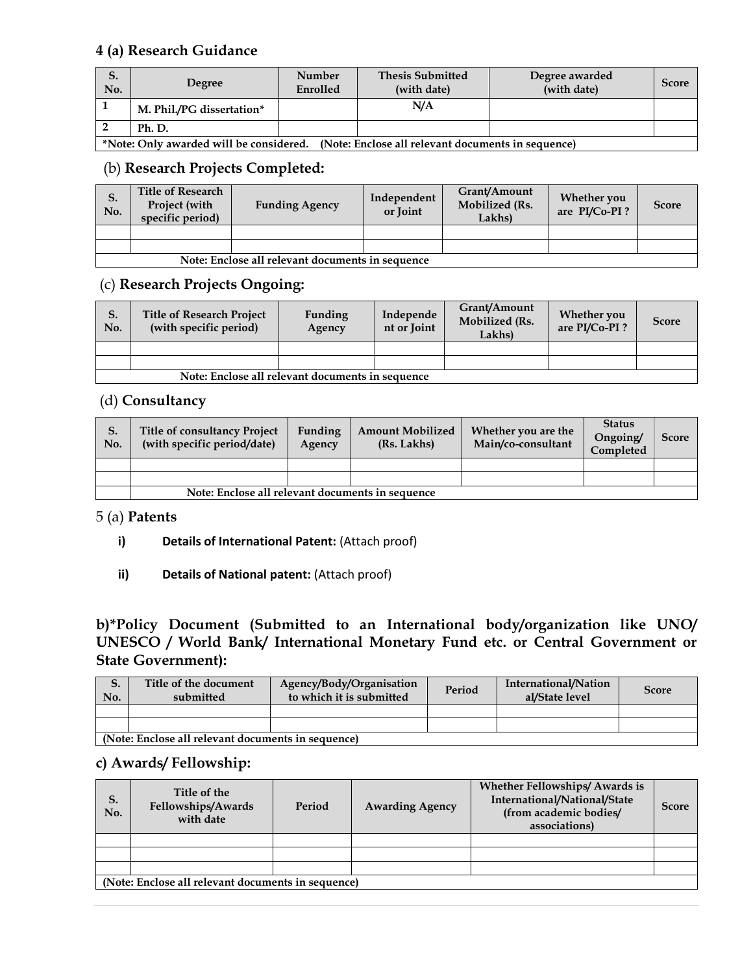### **4 (a) Research Guidance**

| S.<br>No. | Degree                    | <b>Number</b><br>Enrolled | <b>Thesis Submitted</b><br>(with date) | Degree awarded<br>(with date) | <b>Score</b> |
|-----------|---------------------------|---------------------------|----------------------------------------|-------------------------------|--------------|
|           | M. Phil./PG dissertation* |                           | N/A                                    |                               |              |
|           | Ph. D.                    |                           |                                        |                               |              |

**\*Note: Only awarded will be considered. (Note: Enclose all relevant documents in sequence)** 

# (b) **Research Projects Completed:**

| S.<br>No. | <b>Title of Research</b><br>Project (with<br>specific period) | <b>Funding Agency</b> | Independent<br>or Joint | Grant/Amount<br>Mobilized (Rs.<br>Lakhs) | Whether you<br>are PI/Co-PI? | <b>Score</b> |  |  |
|-----------|---------------------------------------------------------------|-----------------------|-------------------------|------------------------------------------|------------------------------|--------------|--|--|
|           |                                                               |                       |                         |                                          |                              |              |  |  |
|           |                                                               |                       |                         |                                          |                              |              |  |  |
|           | Note: Enclose all relevant documents in sequence              |                       |                         |                                          |                              |              |  |  |

### (c) **Research Projects Ongoing:**

| S.<br>No. | <b>Title of Research Project</b><br>(with specific period) | Funding<br>Agency | Independe<br>nt or Joint | Grant/Amount<br>Mobilized (Rs.<br>Lakhs) | <b>Whether you</b><br>are PI/Co-PI? | <b>Score</b> |  |  |
|-----------|------------------------------------------------------------|-------------------|--------------------------|------------------------------------------|-------------------------------------|--------------|--|--|
|           |                                                            |                   |                          |                                          |                                     |              |  |  |
|           |                                                            |                   |                          |                                          |                                     |              |  |  |
|           | Note: Enclose all relevant documents in sequence           |                   |                          |                                          |                                     |              |  |  |

# (d) **Consultancy**

| S.<br>No. | <b>Title of consultancy Project</b><br>(with specific period/date) | Funding<br>Agency | <b>Amount Mobilized</b><br>(Rs. Lakhs) | Whether you are the<br>Main/co-consultant | <b>Status</b><br>Ongoing/<br>Completed | <b>Score</b> |  |
|-----------|--------------------------------------------------------------------|-------------------|----------------------------------------|-------------------------------------------|----------------------------------------|--------------|--|
|           |                                                                    |                   |                                        |                                           |                                        |              |  |
|           |                                                                    |                   |                                        |                                           |                                        |              |  |
|           | Note: Enclose all relevant documents in sequence                   |                   |                                        |                                           |                                        |              |  |

### 5 (a) **Patents**

- **i) Details of International Patent:** (Attach proof)
- **ii) Details of National patent:** (Attach proof)

**b)\*Policy Document (Submitted to an International body/organization like UNO/ UNESCO / World Bank/ International Monetary Fund etc. or Central Government or State Government):** 

| S.<br>No. | Title of the document<br>submitted                 | Agency/Body/Organisation<br>to which it is submitted | Period | International/Nation<br>al/State level | <b>Score</b> |  |  |  |
|-----------|----------------------------------------------------|------------------------------------------------------|--------|----------------------------------------|--------------|--|--|--|
|           |                                                    |                                                      |        |                                        |              |  |  |  |
|           |                                                    |                                                      |        |                                        |              |  |  |  |
|           | (Note: Enclose all relevant documents in sequence) |                                                      |        |                                        |              |  |  |  |

### **c) Awards/ Fellowship:**

| S.<br>No. | Title of the<br>Fellowships/Awards<br>with date    | Period | <b>Awarding Agency</b> | <b>Whether Fellowships/Awards is</b><br>International/National/State<br>(from academic bodies/<br>associations) | Score |  |  |  |
|-----------|----------------------------------------------------|--------|------------------------|-----------------------------------------------------------------------------------------------------------------|-------|--|--|--|
|           |                                                    |        |                        |                                                                                                                 |       |  |  |  |
|           |                                                    |        |                        |                                                                                                                 |       |  |  |  |
|           |                                                    |        |                        |                                                                                                                 |       |  |  |  |
|           | (Note: Enclose all relevant documents in sequence) |        |                        |                                                                                                                 |       |  |  |  |